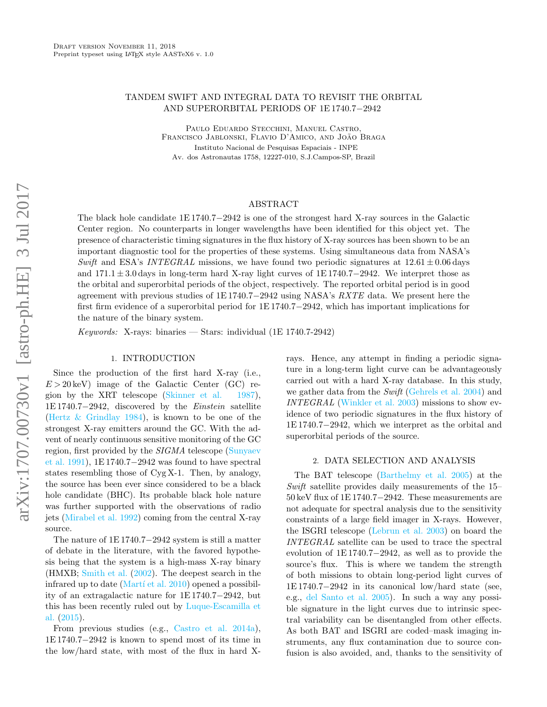# TANDEM SWIFT AND INTEGRAL DATA TO REVISIT THE ORBITAL AND SUPERORBITAL PERIODS OF 1E 1740.7−2942

Paulo Eduardo Stecchini, Manuel Castro, FRANCISCO JABLONSKI, FLAVIO D'AMICO, AND JOÃO BRAGA Instituto Nacional de Pesquisas Espaciais - INPE Av. dos Astronautas 1758, 12227-010, S.J.Campos-SP, Brazil

### ABSTRACT

The black hole candidate 1E 1740.7−2942 is one of the strongest hard X-ray sources in the Galactic Center region. No counterparts in longer wavelengths have been identified for this object yet. The presence of characteristic timing signatures in the flux history of X-ray sources has been shown to be an important diagnostic tool for the properties of these systems. Using simultaneous data from NASA's Swift and ESA's INTEGRAL missions, we have found two periodic signatures at  $12.61 \pm 0.06$  days and 171.1 ± 3.0 days in long-term hard X-ray light curves of 1E 1740.7−2942. We interpret those as the orbital and superorbital periods of the object, respectively. The reported orbital period is in good agreement with previous studies of 1E 1740.7−2942 using NASA's RXTE data. We present here the first firm evidence of a superorbital period for 1E 1740.7−2942, which has important implications for the nature of the binary system.

*Keywords:* X-rays: binaries — Stars: individual  $(1E 1740.7-2942)$ 

## 1. INTRODUCTION

Since the production of the first hard X-ray (i.e.,  $E > 20 \,\text{keV}$  image of the Galactic Center (GC) region by the XRT telescope [\(Skinner et al.](#page-4-0) [1987\)](#page-4-0), 1E 1740.7−2942, discovered by the Einstein satellite [\(Hertz & Grindlay](#page-4-1) [1984\)](#page-4-1), is known to be one of the strongest X-ray emitters around the GC. With the advent of nearly continuous sensitive monitoring of the GC region, first provided by the SIGMA telescope [\(Sunyaev](#page-4-2) [et al.](#page-4-2) [1991\)](#page-4-2), 1E 1740.7−2942 was found to have spectral states resembling those of Cyg X-1. Then, by analogy, the source has been ever since considered to be a black hole candidate (BHC). Its probable black hole nature was further supported with the observations of radio jets [\(Mirabel et al.](#page-4-3) [1992\)](#page-4-3) coming from the central X-ray source.

The nature of 1E 1740.7−2942 system is still a matter of debate in the literature, with the favored hypothesis being that the system is a high-mass X-ray binary (HMXB; [Smith et al.](#page-4-4) [\(2002\)](#page-4-4). The deepest search in the infrared up to date (Martí et al.  $2010$ ) opened a possibility of an extragalactic nature for 1E 1740.7−2942, but this has been recently ruled out by [Luque-Escamilla et](#page-4-6) [al.](#page-4-6) [\(2015\)](#page-4-6).

From previous studies (e.g., [Castro et al.](#page-4-7) [2014a\)](#page-4-7), 1E 1740.7−2942 is known to spend most of its time in the low/hard state, with most of the flux in hard X- rays. Hence, any attempt in finding a periodic signature in a long-term light curve can be advantageously carried out with a hard X-ray database. In this study, we gather data from the Swift [\(Gehrels et al.](#page-4-8) [2004\)](#page-4-8) and INTEGRAL [\(Winkler et al.](#page-4-9) [2003\)](#page-4-9) missions to show evidence of two periodic signatures in the flux history of 1E 1740.7−2942, which we interpret as the orbital and superorbital periods of the source.

#### 2. DATA SELECTION AND ANALYSIS

The BAT telescope [\(Barthelmy et al.](#page-4-10) [2005\)](#page-4-10) at the Swift satellite provides daily measurements of the 15– 50 keV flux of 1E 1740.7−2942. These measurements are not adequate for spectral analysis due to the sensitivity constraints of a large field imager in X-rays. However, the ISGRI telescope [\(Lebrun et al.](#page-4-11) [2003\)](#page-4-11) on board the INTEGRAL satellite can be used to trace the spectral evolution of 1E 1740.7−2942, as well as to provide the source's flux. This is where we tandem the strength of both missions to obtain long-period light curves of 1E 1740.7−2942 in its canonical low/hard state (see, e.g., [del Santo et al.](#page-4-12) [2005\)](#page-4-12). In such a way any possible signature in the light curves due to intrinsic spectral variability can be disentangled from other effects. As both BAT and ISGRI are coded–mask imaging instruments, any flux contamination due to source confusion is also avoided, and, thanks to the sensitivity of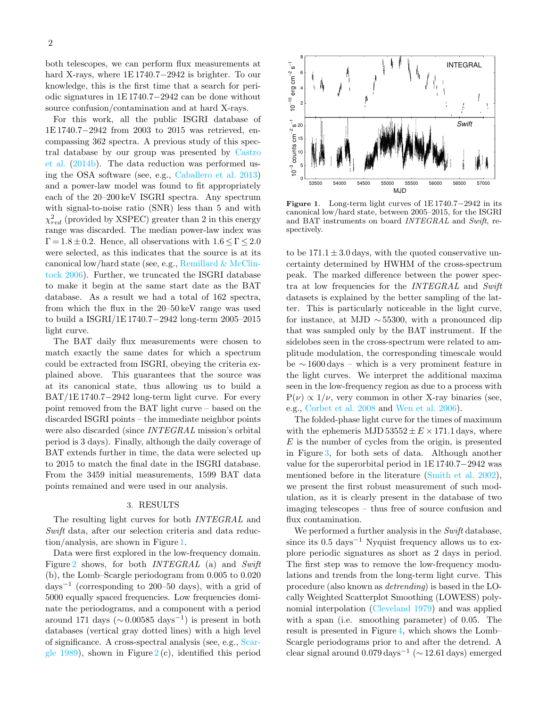both telescopes, we can perform flux measurements at hard X-rays, where 1E 1740.7−2942 is brighter. To our knowledge, this is the first time that a search for periodic signatures in 1E 1740.7−2942 can be done without source confusion/contamination and at hard X-rays.

For this work, all the public ISGRI database of 1E 1740.7−2942 from 2003 to 2015 was retrieved, encompassing 362 spectra. A previous study of this spectral database by our group was presented by [Castro](#page-4-13) [et al.](#page-4-13) [\(2014b\)](#page-4-13). The data reduction was performed using the OSA software (see, e.g., [Caballero et al.](#page-4-14) [2013\)](#page-4-14) and a power-law model was found to fit appropriately each of the 20–200 keV ISGRI spectra. Any spectrum with signal-to-noise ratio (SNR) less than 5 and with  $\chi_{red}^2$  (provided by XSPEC) greater than 2 in this energy range was discarded. The median power-law index was  $\Gamma = 1.8 \pm 0.2$ . Hence, all observations with  $1.6 \leq \Gamma \leq 2.0$ were selected, as this indicates that the source is at its canonical low/hard state (see, e.g., Remillard  $&$  McClin[tock](#page-4-15) [2006\)](#page-4-15). Further, we truncated the ISGRI database to make it begin at the same start date as the BAT database. As a result we had a total of 162 spectra, from which the flux in the 20–50 keV range was used to build a ISGRI/1E 1740.7−2942 long-term 2005–2015 light curve.

The BAT daily flux measurements were chosen to match exactly the same dates for which a spectrum could be extracted from ISGRI, obeying the criteria explained above. This guarantees that the source was at its canonical state, thus allowing us to build a BAT/1E 1740.7−2942 long-term light curve. For every point removed from the BAT light curve – based on the discarded ISGRI points – the immediate neighbor points were also discarded (since INTEGRAL mission's orbital period is 3 days). Finally, although the daily coverage of BAT extends further in time, the data were selected up to 2015 to match the final date in the ISGRI database. From the 3459 initial measurements, 1599 BAT data points remained and were used in our analysis.

### 3. RESULTS

The resulting light curves for both INTEGRAL and Swift data, after our selection criteria and data reduction/analysis, are shown in Figure [1.](#page-1-0)

Data were first explored in the low-frequency domain. Figure [2](#page-1-0) shows, for both *INTEGRAL* (a) and *Swift* (b), the Lomb–Scargle periodogram from 0.005 to 0.020 days<sup>−</sup><sup>1</sup> (corresponding to 200–50 days), with a grid of 5000 equally spaced frequencies. Low frequencies dominate the periodograms, and a component with a period around 171 days ( $\sim$  0.00585 days<sup>-1</sup>) is present in both databases (vertical gray dotted lines) with a high level of significance. A cross-spectral analysis (see, e.g., [Scar](#page-4-16)[gle](#page-4-16) [1989\)](#page-4-16), shown in Figure  $2(c)$  $2(c)$ , identified this period



<span id="page-1-0"></span>Figure 1. Long-term light curves of 1E 1740.7−2942 in its canonical low/hard state, between 2005–2015, for the ISGRI and BAT instruments on board INTEGRAL and Swift, respectively.

to be  $171.1 \pm 3.0$  days, with the quoted conservative uncertainty determined by HWHM of the cross-spectrum peak. The marked difference between the power spectra at low frequencies for the INTEGRAL and Swift datasets is explained by the better sampling of the latter. This is particularly noticeable in the light curve, for instance, at MJD  $\sim$  55300, with a pronounced dip that was sampled only by the BAT instrument. If the sidelobes seen in the cross-spectrum were related to amplitude modulation, the corresponding timescale would be ∼ 1600 days – which is a very prominent feature in the light curves. We interpret the additional maxima seen in the low-frequency region as due to a process with  $P(\nu) \propto 1/\nu$ , very common in other X-ray binaries (see, e.g., [Corbet et al.](#page-4-17) [2008](#page-4-17) and [Wen et al.](#page-4-18) [2006\)](#page-4-18).

The folded-phase light curve for the times of maximum with the ephemeris MJD  $53552 \pm E \times 171.1$  days, where  $E$  is the number of cycles from the origin, is presented in Figure [3,](#page-1-0) for both sets of data. Although another value for the superorbital period in 1E 1740.7−2942 was mentioned before in the literature [\(Smith et al.](#page-4-4) [2002\)](#page-4-4), we present the first robust measurement of such modulation, as it is clearly present in the database of two imaging telescopes – thus free of source confusion and flux contamination.

We performed a further analysis in the Swift database, since its  $0.5 \text{ days}^{-1}$  Nyquist frequency allows us to explore periodic signatures as short as 2 days in period. The first step was to remove the low-frequency modulations and trends from the long-term light curve. This procedure (also known as detrending) is based in the LOcally Weighted Scatterplot Smoothing (LOWESS) polynomial interpolation [\(Cleveland](#page-4-19) [1979\)](#page-4-19) and was applied with a span (i.e. smoothing parameter) of 0.05. The result is presented in Figure [4,](#page-1-0) which shows the Lomb– Scargle periodograms prior to and after the detrend. A clear signal around  $0.079 \,\text{days}^{-1}$  ( $\sim 12.61 \,\text{days}$ ) emerged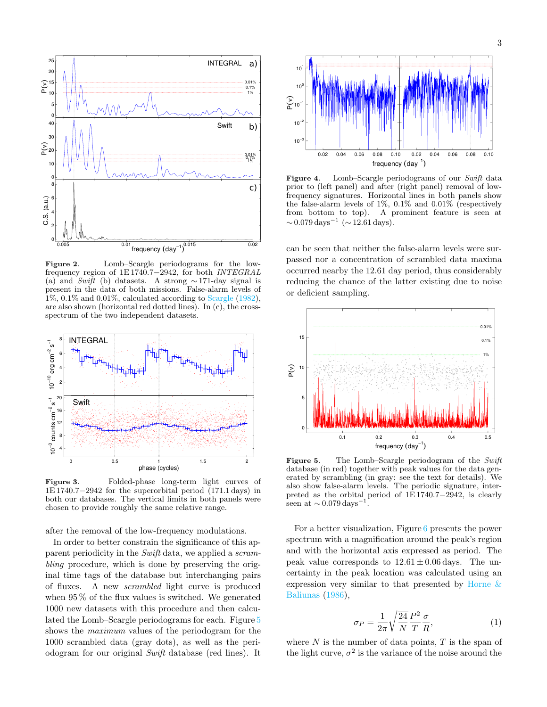

Figure 2. Lomb–Scargle periodograms for the lowfrequency region of 1E 1740.7−2942, for both INTEGRAL (a) and  $Swi\bar{t}$  (b) datasets. A strong ~ 171-day signal is present in the data of both missions. False-alarm levels of 1%, 0.1% and 0.01%, calculated according to [Scargle](#page-4-20) [\(1982\)](#page-4-20), are also shown (horizontal red dotted lines). In (c), the crossspectrum of the two independent datasets.



Figure 3. Folded-phase long-term light curves of 1E 1740.7−2942 for the superorbital period (171.1 days) in both our databases. The vertical limits in both panels were chosen to provide roughly the same relative range.

after the removal of the low-frequency modulations.

In order to better constrain the significance of this apparent periodicity in the Swift data, we applied a scrambling procedure, which is done by preserving the original time tags of the database but interchanging pairs of fluxes. A new scrambled light curve is produced when 95 % of the flux values is switched. We generated 1000 new datasets with this procedure and then calculated the Lomb–Scargle periodograms for each. Figure [5](#page-1-0) shows the maximum values of the periodogram for the 1000 scrambled data (gray dots), as well as the periodogram for our original Swift database (red lines). It



Figure 4. Lomb–Scargle periodograms of our Swift data prior to (left panel) and after (right panel) removal of lowfrequency signatures. Horizontal lines in both panels show the false-alarm levels of 1%, 0.1% and 0.01% (respectively from bottom to top). A prominent feature is seen at  $\sim 0.079 \,\text{days}^{-1}$  ( $\sim 12.61 \,\text{days}$ ).

can be seen that neither the false-alarm levels were surpassed nor a concentration of scrambled data maxima occurred nearby the 12.61 day period, thus considerably reducing the chance of the latter existing due to noise or deficient sampling.



Figure 5. The Lomb–Scargle periodogram of the Swift database (in red) together with peak values for the data generated by scrambling (in gray: see the text for details). We also show false-alarm levels. The periodic signature, interpreted as the orbital period of 1E 1740.7−2942, is clearly seen at  $\sim 0.079\,\mathrm{days}^{-1}$ .

For a better visualization, Figure [6](#page-1-0) presents the power spectrum with a magnification around the peak's region and with the horizontal axis expressed as period. The peak value corresponds to  $12.61 \pm 0.06$  days. The uncertainty in the peak location was calculated using an expression very similar to that presented by Horne  $\&$ [Baliunas](#page-4-21) [\(1986\)](#page-4-21),

$$
\sigma_P = \frac{1}{2\pi} \sqrt{\frac{24}{N}} \frac{P^2}{T} \frac{\sigma}{R},\tag{1}
$$

where  $N$  is the number of data points,  $T$  is the span of the light curve,  $\sigma^2$  is the variance of the noise around the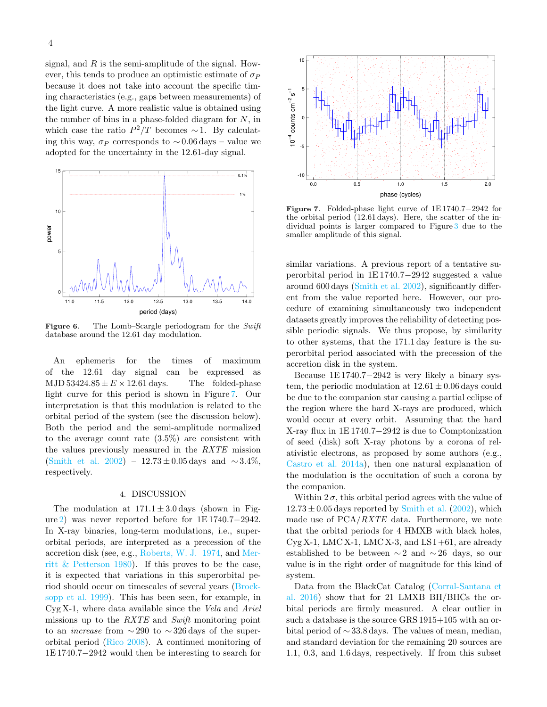signal, and  $R$  is the semi-amplitude of the signal. However, this tends to produce an optimistic estimate of  $\sigma_P$ because it does not take into account the specific timing characteristics (e.g., gaps between measurements) of the light curve. A more realistic value is obtained using the number of bins in a phase-folded diagram for  $N$ , in which case the ratio  $P^2/T$  becomes  $\sim$  1. By calculating this way,  $\sigma_P$  corresponds to ~0.06 days – value we adopted for the uncertainty in the 12.61-day signal.



Figure 6. The Lomb-Scargle periodogram for the Swift database around the 12.61 day modulation.

An ephemeris for the times of maximum of the 12.61 day signal can be expressed as MJD  $53424.85 \pm E \times 12.61$  days. The folded-phase light curve for this period is shown in Figure [7.](#page-1-0) Our interpretation is that this modulation is related to the orbital period of the system (see the discussion below). Both the period and the semi-amplitude normalized to the average count rate (3.5%) are consistent with the values previously measured in the RXTE mission [\(Smith et al.](#page-4-4) [2002\)](#page-4-4) – 12.73 ± 0.05 days and  $\sim$  3.4%, respectively.

#### 4. DISCUSSION

The modulation at  $171.1 \pm 3.0$  days (shown in Figure [2\)](#page-1-0) was never reported before for 1E 1740.7−2942. In X-ray binaries, long-term modulations, i.e., superorbital periods, are interpreted as a precession of the accretion disk (see, e.g., [Roberts, W. J.](#page-4-22) [1974,](#page-4-22) and [Mer](#page-4-23)[ritt & Petterson](#page-4-23) [1980\)](#page-4-23). If this proves to be the case, it is expected that variations in this superorbital period should occur on timescales of several years [\(Brock](#page-4-24)[sopp et al.](#page-4-24) [1999\)](#page-4-24). This has been seen, for example, in  $Cyg X-1$ , where data available since the Vela and Ariel missions up to the RXTE and Swift monitoring point to an *increase* from  $\sim$  290 to  $\sim$  326 days of the superorbital period [\(Rico](#page-4-25) [2008\)](#page-4-25). A continued monitoring of 1941. The main is the main of the interesting to the main of the main of the main of the main of the interesting to the main of the interesting to the main of the interesting to the main of the interesting to search for



Figure 7. Folded-phase light curve of 1E 1740.7−2942 for the orbital period (12.61 days). Here, the scatter of the individual points is larger compared to Figure [3](#page-1-0) due to the smaller amplitude of this signal.

similar variations. A previous report of a tentative superorbital period in 1E 1740.7−2942 suggested a value around 600 days [\(Smith et al.](#page-4-4) [2002\)](#page-4-4), significantly different from the value reported here. However, our procedure of examining simultaneously two independent datasets greatly improves the reliability of detecting possible periodic signals. We thus propose, by similarity to other systems, that the 171.1 day feature is the superorbital period associated with the precession of the accretion disk in the system.

Because 1E 1740.7−2942 is very likely a binary system, the periodic modulation at  $12.61 \pm 0.06$  days could be due to the companion star causing a partial eclipse of the region where the hard X-rays are produced, which would occur at every orbit. Assuming that the hard X-ray flux in 1E 1740.7−2942 is due to Comptonization of seed (disk) soft X-ray photons by a corona of relativistic electrons, as proposed by some authors (e.g., [Castro et al.](#page-4-7) [2014a\)](#page-4-7), then one natural explanation of the modulation is the occultation of such a corona by the companion.

Within  $2\sigma$ , this orbital period agrees with the value of  $12.73 \pm 0.05$  days reported by [Smith et al.](#page-4-4) [\(2002\)](#page-4-4), which made use of  $PCA/RXTE$  data. Furthermore, we note that the orbital periods for 4 HMXB with black holes,  $Cyg X-1$ , LMCX-1, LMCX-3, and LSI+61, are already established to be between  $\sim$  2 and  $\sim$  26 days, so our value is in the right order of magnitude for this kind of system.

Data from the BlackCat Catalog [\(Corral-Santana et](#page-4-26) [al.](#page-4-26) [2016\)](#page-4-26) show that for 21 LMXB BH/BHCs the orbital periods are firmly measured. A clear outlier in such a database is the source GRS 1915+105 with an orbital period of ∼ 33.8 days. The values of mean, median, and standard deviation for the remaining 20 sources are 1.1, 0.3, and 1.6 days, respectively. If from this subset